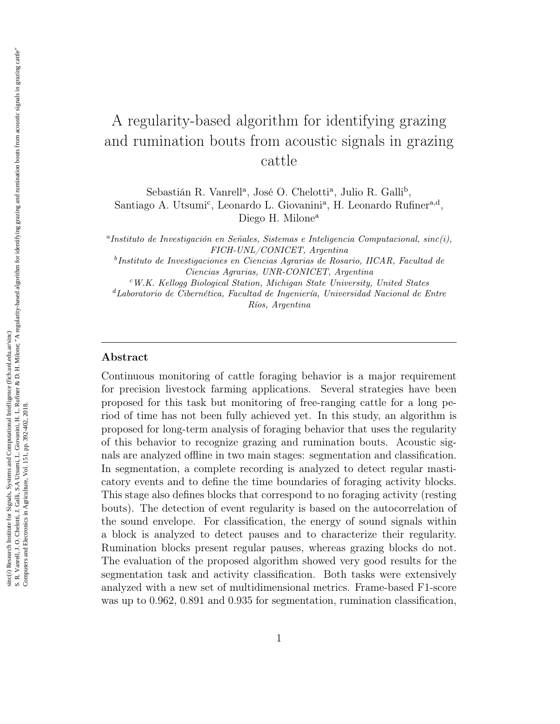# A regularity-based algorithm for identifying grazing and rumination bouts from acoustic signals in grazing cattle

Sebastián R. Vanrell<sup>a</sup>, José O. Chelotti<sup>a</sup>, Julio R. Galli<sup>b</sup>,

Santiago A. Utsumi<sup>c</sup>, Leonardo L. Giovanini<sup>a</sup>, H. Leonardo Rufiner<sup>a,d</sup>, Diego H. Milone<sup>a</sup>

<sup>a</sup>Instituto de Investigación en Señales, Sistemas e Inteligencia Computacional, sinc $(i)$ , FICH-UNL/CONICET, Argentina

b Instituto de Investigaciones en Ciencias Agrarias de Rosario, IICAR, Facultad de Ciencias Agrarias, UNR-CONICET, Argentina

 $c$  W.K. Kellogg Biological Station, Michigan State University, United States

<sup>d</sup>Laboratorio de Cibernética, Facultad de Ingeniería, Universidad Nacional de Entre Ríos, Argentina

## Abstract

Continuous monitoring of cattle foraging behavior is a major requirement for precision livestock farming applications. Several strategies have been proposed for this task but monitoring of free-ranging cattle for a long period of time has not been fully achieved yet. In this study, an algorithm is proposed for long-term analysis of foraging behavior that uses the regularity of this behavior to recognize grazing and rumination bouts. Acoustic signals are analyzed offline in two main stages: segmentation and classification. In segmentation, a complete recording is analyzed to detect regular masticatory events and to define the time boundaries of foraging activity blocks. This stage also defines blocks that correspond to no foraging activity (resting bouts). The detection of event regularity is based on the autocorrelation of the sound envelope. For classification, the energy of sound signals within a block is analyzed to detect pauses and to characterize their regularity. Rumination blocks present regular pauses, whereas grazing blocks do not. The evaluation of the proposed algorithm showed very good results for the segmentation task and activity classification. Both tasks were extensively analyzed with a new set of multidimensional metrics. Frame-based F1-score was up to 0.962, 0.891 and 0.935 for segmentation, rumination classification,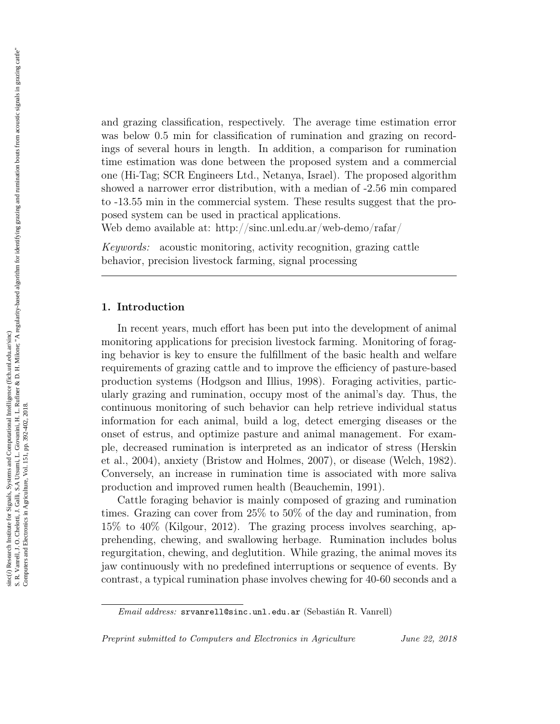and grazing classification, respectively. The average time estimation error was below 0.5 min for classification of rumination and grazing on recordings of several hours in length. In addition, a comparison for rumination time estimation was done between the proposed system and a commercial one (Hi-Tag; SCR Engineers Ltd., Netanya, Israel). The proposed algorithm showed a narrower error distribution, with a median of -2.56 min compared to -13.55 min in the commercial system. These results suggest that the proposed system can be used in practical applications.

Web demo available at: http://sinc.unl.edu.ar/web-demo/rafar/

Keywords: acoustic monitoring, activity recognition, grazing cattle behavior, precision livestock farming, signal processing

# 1. Introduction

In recent years, much effort has been put into the development of animal monitoring applications for precision livestock farming. Monitoring of foraging behavior is key to ensure the fulfillment of the basic health and welfare requirements of grazing cattle and to improve the efficiency of pasture-based production systems [\(Hodgson and Illius, 1998\)](#page-28-0). Foraging activities, particularly grazing and rumination, occupy most of the animal's day. Thus, the continuous monitoring of such behavior can help retrieve individual status information for each animal, build a log, detect emerging diseases or the onset of estrus, and optimize pasture and animal management. For example, decreased rumination is interpreted as an indicator of stress [\(Herskin](#page-28-1) [et al., 2004\)](#page-28-1), anxiety [\(Bristow and Holmes, 2007\)](#page-27-0), or disease [\(Welch, 1982\)](#page-30-0). Conversely, an increase in rumination time is associated with more saliva production and improved rumen health [\(Beauchemin, 1991\)](#page-27-1).

Cattle foraging behavior is mainly composed of grazing and rumination times. Grazing can cover from 25% to 50% of the day and rumination, from 15% to 40% [\(Kilgour, 2012\)](#page-28-2). The grazing process involves searching, apprehending, chewing, and swallowing herbage. Rumination includes bolus regurgitation, chewing, and deglutition. While grazing, the animal moves its jaw continuously with no predefined interruptions or sequence of events. By contrast, a typical rumination phase involves chewing for 40-60 seconds and a

Preprint submitted to Computers and Electronics in Agriculture June 22, 2018

Email address: srvanrell@sinc.unl.edu.ar (Sebastián R. Vanrell)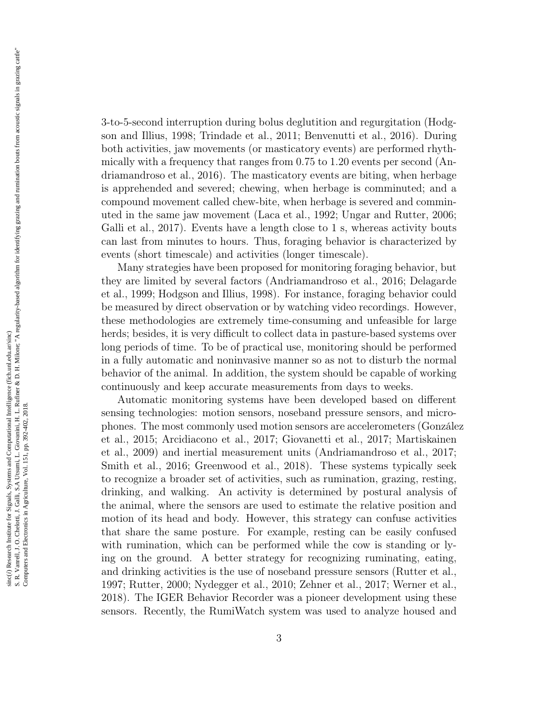3-to-5-second interruption during bolus deglutition and regurgitation [\(Hodg](#page-28-0)[son and Illius, 1998;](#page-28-0) [Trindade et al., 2011;](#page-30-1) [Benvenutti et al., 2016\)](#page-27-2). During both activities, jaw movements (or masticatory events) are performed rhythmically with a frequency that ranges from 0.75 to 1.20 events per second [\(An](#page-26-0)[driamandroso et al., 2016\)](#page-26-0). The masticatory events are biting, when herbage is apprehended and severed; chewing, when herbage is comminuted; and a compound movement called chew-bite, when herbage is severed and comminuted in the same jaw movement [\(Laca et al., 1992;](#page-28-3) [Ungar and Rutter, 2006;](#page-30-2) [Galli et al., 2017\)](#page-27-3). Events have a length close to 1 s, whereas activity bouts can last from minutes to hours. Thus, foraging behavior is characterized by events (short timescale) and activities (longer timescale).

Many strategies have been proposed for monitoring foraging behavior, but they are limited by several factors [\(Andriamandroso et al., 2016;](#page-26-0) [Delagarde](#page-27-4) [et al., 1999;](#page-27-4) [Hodgson and Illius, 1998\)](#page-28-0). For instance, foraging behavior could be measured by direct observation or by watching video recordings. However, these methodologies are extremely time-consuming and unfeasible for large herds; besides, it is very difficult to collect data in pasture-based systems over long periods of time. To be of practical use, monitoring should be performed in a fully automatic and noninvasive manner so as not to disturb the normal behavior of the animal. In addition, the system should be capable of working continuously and keep accurate measurements from days to weeks.

Automatic monitoring systems have been developed based on different sensing technologies: motion sensors, noseband pressure sensors, and microphones. The most commonly used motion sensors are accelerometers [\(Gonzále](#page-28-4)z [et al., 2015;](#page-28-4) [Arcidiacono et al., 2017;](#page-27-5) [Giovanetti et al., 2017;](#page-28-5) [Martiskainen](#page-28-6) [et al., 2009\)](#page-28-6) and inertial measurement units [\(Andriamandroso et al., 2017;](#page-26-1) [Smith et al., 2016;](#page-29-0) [Greenwood et al., 2018\)](#page-28-7). These systems typically seek to recognize a broader set of activities, such as rumination, grazing, resting, drinking, and walking. An activity is determined by postural analysis of the animal, where the sensors are used to estimate the relative position and motion of its head and body. However, this strategy can confuse activities that share the same posture. For example, resting can be easily confused with rumination, which can be performed while the cow is standing or lying on the ground. A better strategy for recognizing ruminating, eating, and drinking activities is the use of noseband pressure sensors [\(Rutter et al.,](#page-29-1) [1997;](#page-29-1) [Rutter, 2000;](#page-29-2) [Nydegger et al., 2010;](#page-29-3) [Zehner et al., 2017;](#page-30-3) [Werner et al.,](#page-30-4) [2018\)](#page-30-4). The IGER Behavior Recorder was a pioneer development using these sensors. Recently, the RumiWatch system was used to analyze housed and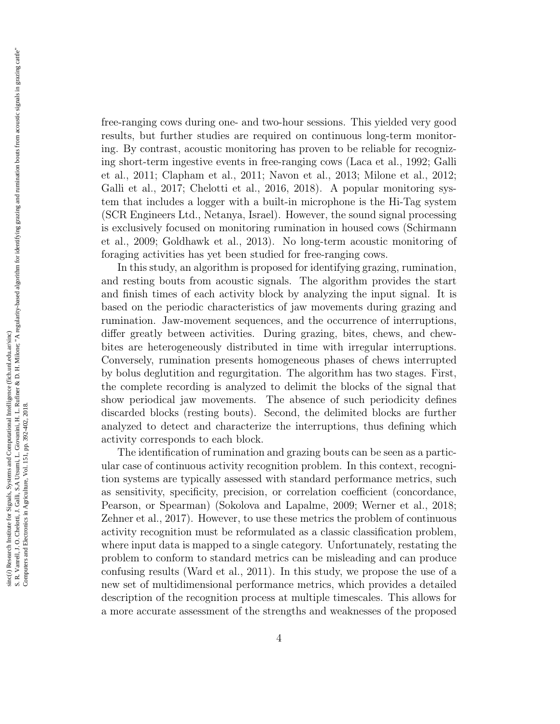free-ranging cows during one- and two-hour sessions. This yielded very good results, but further studies are required on continuous long-term monitoring. By contrast, acoustic monitoring has proven to be reliable for recognizing short-term ingestive events in free-ranging cows [\(Laca et al., 1992;](#page-28-3) [Galli](#page-27-6) [et al., 2011;](#page-27-6) [Clapham et al., 2011;](#page-27-7) [Navon et al., 2013;](#page-29-4) [Milone et al., 2012;](#page-29-5) [Galli et al., 2017;](#page-27-3) [Chelotti et al., 2016,](#page-27-8) [2018\)](#page-27-9). A popular monitoring system that includes a logger with a built-in microphone is the Hi-Tag system (SCR Engineers Ltd., Netanya, Israel). However, the sound signal processing is exclusively focused on monitoring rumination in housed cows [\(Schirmann](#page-29-6) [et al., 2009;](#page-29-6) [Goldhawk et al., 2013\)](#page-28-8). No long-term acoustic monitoring of foraging activities has yet been studied for free-ranging cows.

In this study, an algorithm is proposed for identifying grazing, rumination, and resting bouts from acoustic signals. The algorithm provides the start and finish times of each activity block by analyzing the input signal. It is based on the periodic characteristics of jaw movements during grazing and rumination. Jaw-movement sequences, and the occurrence of interruptions, differ greatly between activities. During grazing, bites, chews, and chewbites are heterogeneously distributed in time with irregular interruptions. Conversely, rumination presents homogeneous phases of chews interrupted by bolus deglutition and regurgitation. The algorithm has two stages. First, the complete recording is analyzed to delimit the blocks of the signal that show periodical jaw movements. The absence of such periodicity defines discarded blocks (resting bouts). Second, the delimited blocks are further analyzed to detect and characterize the interruptions, thus defining which activity corresponds to each block.

The identification of rumination and grazing bouts can be seen as a particular case of continuous activity recognition problem. In this context, recognition systems are typically assessed with standard performance metrics, such as sensitivity, specificity, precision, or correlation coefficient (concordance, Pearson, or Spearman) [\(Sokolova and Lapalme, 2009;](#page-29-7) [Werner et al., 2018;](#page-30-4) [Zehner et al., 2017\)](#page-30-3). However, to use these metrics the problem of continuous activity recognition must be reformulated as a classic classification problem, where input data is mapped to a single category. Unfortunately, restating the problem to conform to standard metrics can be misleading and can produce confusing results [\(Ward et al., 2011\)](#page-30-5). In this study, we propose the use of a new set of multidimensional performance metrics, which provides a detailed description of the recognition process at multiple timescales. This allows for a more accurate assessment of the strengths and weaknesses of the proposed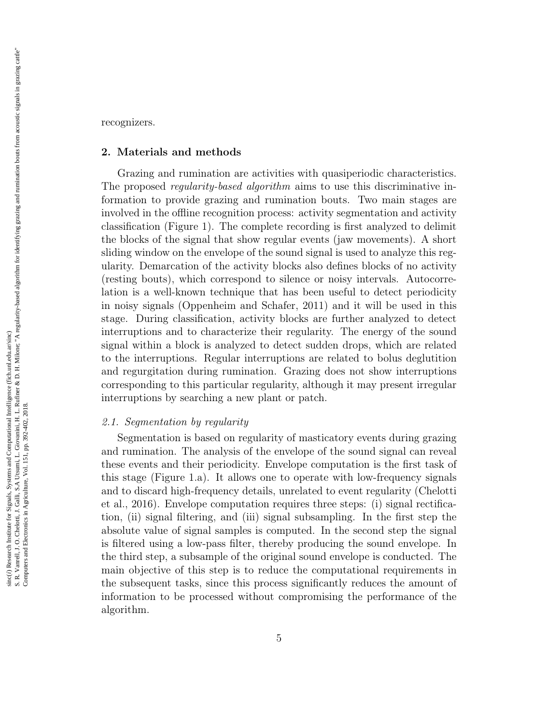recognizers.

#### 2. Materials and methods

Grazing and rumination are activities with quasiperiodic characteristics. The proposed *regularity-based algorithm* aims to use this discriminative information to provide grazing and rumination bouts. Two main stages are involved in the offline recognition process: activity segmentation and activity classification (Figure [1\)](#page-5-0). The complete recording is first analyzed to delimit the blocks of the signal that show regular events (jaw movements). A short sliding window on the envelope of the sound signal is used to analyze this regularity. Demarcation of the activity blocks also defines blocks of no activity (resting bouts), which correspond to silence or noisy intervals. Autocorrelation is a well-known technique that has been useful to detect periodicity in noisy signals [\(Oppenheim and Schafer, 2011\)](#page-29-8) and it will be used in this stage. During classification, activity blocks are further analyzed to detect interruptions and to characterize their regularity. The energy of the sound signal within a block is analyzed to detect sudden drops, which are related to the interruptions. Regular interruptions are related to bolus deglutition and regurgitation during rumination. Grazing does not show interruptions corresponding to this particular regularity, although it may present irregular interruptions by searching a new plant or patch.

# 2.1. Segmentation by regularity

Segmentation is based on regularity of masticatory events during grazing and rumination. The analysis of the envelope of the sound signal can reveal these events and their periodicity. Envelope computation is the first task of this stage (Figure [1.](#page-5-0)a). It allows one to operate with low-frequency signals and to discard high-frequency details, unrelated to event regularity [\(Chelotti](#page-27-8) [et al., 2016\)](#page-27-8). Envelope computation requires three steps: (i) signal rectification, (ii) signal filtering, and (iii) signal subsampling. In the first step the absolute value of signal samples is computed. In the second step the signal is filtered using a low-pass filter, thereby producing the sound envelope. In the third step, a subsample of the original sound envelope is conducted. The main objective of this step is to reduce the computational requirements in the subsequent tasks, since this process significantly reduces the amount of information to be processed without compromising the performance of the algorithm.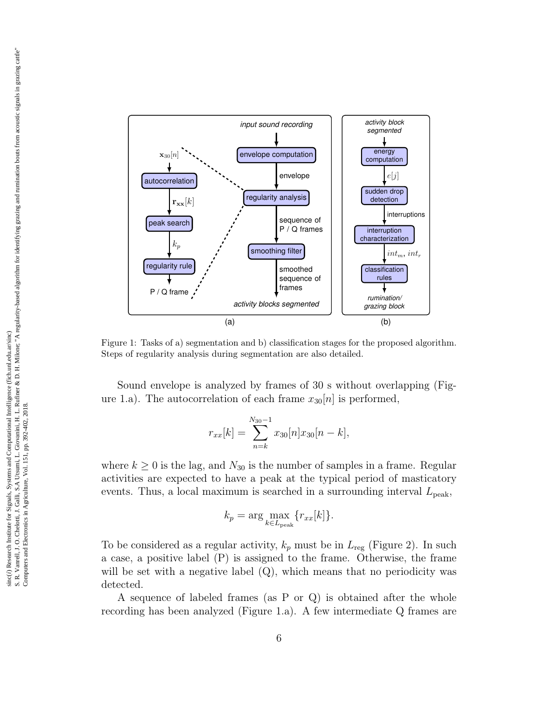<span id="page-5-0"></span>

Figure 1: Tasks of a) segmentation and b) classification stages for the proposed algorithm. Steps of regularity analysis during segmentation are also detailed.

Sound envelope is analyzed by frames of 30 s without overlapping (Fig-ure [1.](#page-5-0)a). The autocorrelation of each frame  $x_{30}[n]$  is performed,

$$
r_{xx}[k] = \sum_{n=k}^{N_{30}-1} x_{30}[n]x_{30}[n-k],
$$

where  $k \geq 0$  is the lag, and  $N_{30}$  is the number of samples in a frame. Regular activities are expected to have a peak at the typical period of masticatory events. Thus, a local maximum is searched in a surrounding interval  $L_{\text{peak}}$ ,

$$
k_p = \arg\max_{k \in L_{\text{peak}}} \{r_{xx}[k]\}.
$$

To be considered as a regular activity,  $k_p$  must be in  $L_{reg}$  (Figure [2\)](#page-6-0). In such a case, a positive label (P) is assigned to the frame. Otherwise, the frame will be set with a negative label  $(Q)$ , which means that no periodicity was detected.

A sequence of labeled frames (as P or Q) is obtained after the whole recording has been analyzed (Figure [1.](#page-5-0)a). A few intermediate Q frames are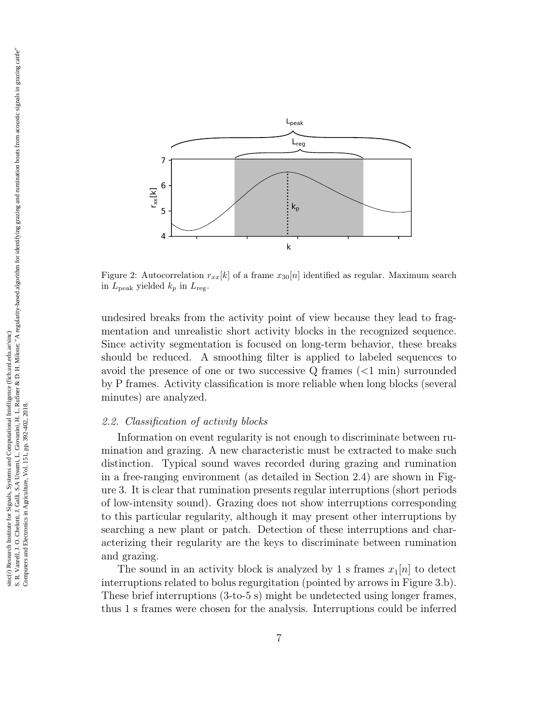<span id="page-6-0"></span>

Figure 2: Autocorrelation  $r_{xx}[k]$  of a frame  $x_{30}[n]$  identified as regular. Maximum search in  $L_{\text{peak}}$  yielded  $k_p$  in  $L_{\text{reg}}$ .

undesired breaks from the activity point of view because they lead to fragmentation and unrealistic short activity blocks in the recognized sequence. Since activity segmentation is focused on long-term behavior, these breaks should be reduced. A smoothing filter is applied to labeled sequences to avoid the presence of one or two successive  $Q$  frames  $\left($ <1 min) surrounded by P frames. Activity classification is more reliable when long blocks (several minutes) are analyzed.

#### 2.2. Classification of activity blocks

Information on event regularity is not enough to discriminate between rumination and grazing. A new characteristic must be extracted to make such distinction. Typical sound waves recorded during grazing and rumination in a free-ranging environment (as detailed in Section [2.4\)](#page-9-0) are shown in Figure [3.](#page-7-0) It is clear that rumination presents regular interruptions (short periods of low-intensity sound). Grazing does not show interruptions corresponding to this particular regularity, although it may present other interruptions by searching a new plant or patch. Detection of these interruptions and characterizing their regularity are the keys to discriminate between rumination and grazing.

The sound in an activity block is analyzed by 1 s frames  $x_1[n]$  to detect interruptions related to bolus regurgitation (pointed by arrows in Figure [3.](#page-7-0)b). These brief interruptions (3-to-5 s) might be undetected using longer frames, thus 1 s frames were chosen for the analysis. Interruptions could be inferred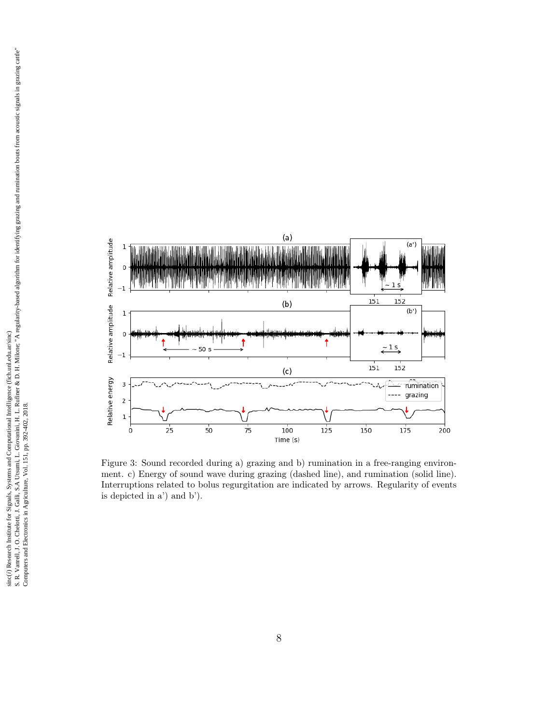<span id="page-7-0"></span>

Figure 3: Sound recorded during a) grazing and b) rumination in a free-ranging environment. c) Energy of sound wave during grazing (dashed line), and rumination (solid line). Interruptions related to bolus regurgitation are indicated by arrows. Regularity of events is depicted in a') and b').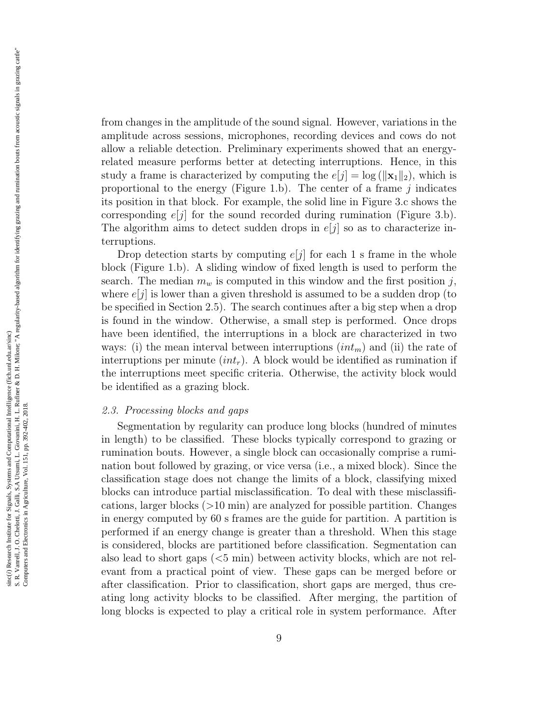from changes in the amplitude of the sound signal. However, variations in the amplitude across sessions, microphones, recording devices and cows do not allow a reliable detection. Preliminary experiments showed that an energyrelated measure performs better at detecting interruptions. Hence, in this study a frame is characterized by computing the  $e[j] = \log (||\mathbf{x}_1||_2)$ , which is proportional to the energy (Figure [1.](#page-5-0)b). The center of a frame  $j$  indicates its position in that block. For example, the solid line in Figure [3.](#page-7-0)c shows the corresponding  $e[j]$  for the sound recorded during rumination (Figure [3.](#page-7-0)b). The algorithm aims to detect sudden drops in  $e[j]$  so as to characterize interruptions.

Drop detection starts by computing  $e[i]$  for each 1 s frame in the whole block (Figure [1.](#page-5-0)b). A sliding window of fixed length is used to perform the search. The median  $m_w$  is computed in this window and the first position j, where  $e[j]$  is lower than a given threshold is assumed to be a sudden drop (to be specified in Section [2.5\)](#page-11-0). The search continues after a big step when a drop is found in the window. Otherwise, a small step is performed. Once drops have been identified, the interruptions in a block are characterized in two ways: (i) the mean interval between interruptions  $(int_m)$  and (ii) the rate of interruptions per minute  $(int<sub>r</sub>)$ . A block would be identified as rumination if the interruptions meet specific criteria. Otherwise, the activity block would be identified as a grazing block.

## 2.3. Processing blocks and gaps

Segmentation by regularity can produce long blocks (hundred of minutes in length) to be classified. These blocks typically correspond to grazing or rumination bouts. However, a single block can occasionally comprise a rumination bout followed by grazing, or vice versa (i.e., a mixed block). Since the classification stage does not change the limits of a block, classifying mixed blocks can introduce partial misclassification. To deal with these misclassifications, larger blocks (>10 min) are analyzed for possible partition. Changes in energy computed by 60 s frames are the guide for partition. A partition is performed if an energy change is greater than a threshold. When this stage is considered, blocks are partitioned before classification. Segmentation can also lead to short gaps  $\langle$  <5 min) between activity blocks, which are not relevant from a practical point of view. These gaps can be merged before or after classification. Prior to classification, short gaps are merged, thus creating long activity blocks to be classified. After merging, the partition of long blocks is expected to play a critical role in system performance. After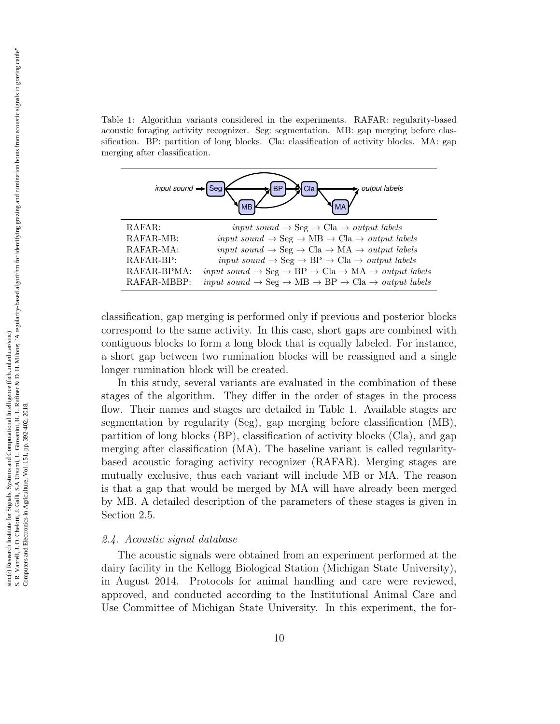<span id="page-9-1"></span>Table 1: Algorithm variants considered in the experiments. RAFAR: regularity-based acoustic foraging activity recognizer. Seg: segmentation. MB: gap merging before classification. BP: partition of long blocks. Cla: classification of activity blocks. MA: gap merging after classification.



classification, gap merging is performed only if previous and posterior blocks correspond to the same activity. In this case, short gaps are combined with contiguous blocks to form a long block that is equally labeled. For instance, a short gap between two rumination blocks will be reassigned and a single longer rumination block will be created.

In this study, several variants are evaluated in the combination of these stages of the algorithm. They differ in the order of stages in the process flow. Their names and stages are detailed in Table [1.](#page-9-1) Available stages are segmentation by regularity (Seg), gap merging before classification (MB), partition of long blocks (BP), classification of activity blocks (Cla), and gap merging after classification (MA). The baseline variant is called regularitybased acoustic foraging activity recognizer (RAFAR). Merging stages are mutually exclusive, thus each variant will include MB or MA. The reason is that a gap that would be merged by MA will have already been merged by MB. A detailed description of the parameters of these stages is given in Section [2.5.](#page-11-0)

## <span id="page-9-0"></span>2.4. Acoustic signal database

The acoustic signals were obtained from an experiment performed at the dairy facility in the Kellogg Biological Station (Michigan State University), in August 2014. Protocols for animal handling and care were reviewed, approved, and conducted according to the Institutional Animal Care and Use Committee of Michigan State University. In this experiment, the for-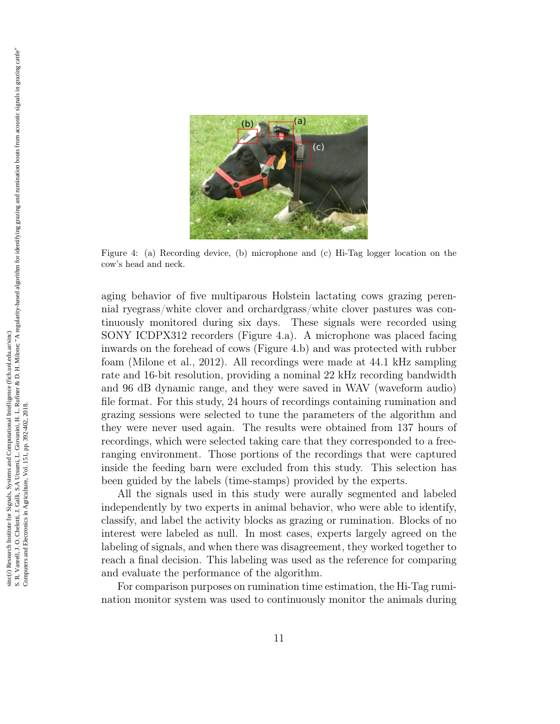<span id="page-10-0"></span>

Figure 4: (a) Recording device, (b) microphone and (c) Hi-Tag logger location on the cow's head and neck.

aging behavior of five multiparous Holstein lactating cows grazing perennial ryegrass/white clover and orchardgrass/white clover pastures was continuously monitored during six days. These signals were recorded using SONY ICDPX312 recorders (Figure [4.](#page-10-0)a). A microphone was placed facing inwards on the forehead of cows (Figure [4.](#page-10-0)b) and was protected with rubber foam [\(Milone et al., 2012\)](#page-29-5). All recordings were made at 44.1 kHz sampling rate and 16-bit resolution, providing a nominal 22 kHz recording bandwidth and 96 dB dynamic range, and they were saved in WAV (waveform audio) file format. For this study, 24 hours of recordings containing rumination and grazing sessions were selected to tune the parameters of the algorithm and they were never used again. The results were obtained from 137 hours of recordings, which were selected taking care that they corresponded to a freeranging environment. Those portions of the recordings that were captured inside the feeding barn were excluded from this study. This selection has been guided by the labels (time-stamps) provided by the experts.

All the signals used in this study were aurally segmented and labeled independently by two experts in animal behavior, who were able to identify, classify, and label the activity blocks as grazing or rumination. Blocks of no interest were labeled as null. In most cases, experts largely agreed on the labeling of signals, and when there was disagreement, they worked together to reach a final decision. This labeling was used as the reference for comparing and evaluate the performance of the algorithm.

For comparison purposes on rumination time estimation, the Hi-Tag rumination monitor system was used to continuously monitor the animals during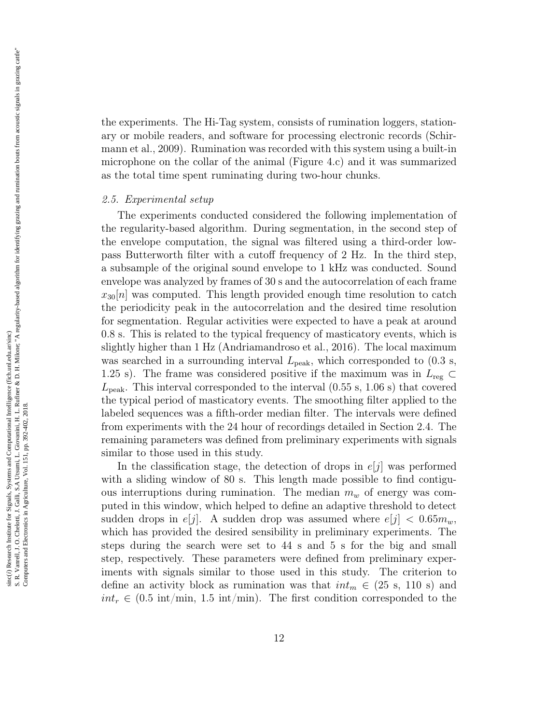the experiments. The Hi-Tag system, consists of rumination loggers, stationary or mobile readers, and software for processing electronic records [\(Schir](#page-29-6)[mann et al., 2009\)](#page-29-6). Rumination was recorded with this system using a built-in microphone on the collar of the animal (Figure [4.](#page-10-0)c) and it was summarized as the total time spent ruminating during two-hour chunks.

#### <span id="page-11-0"></span>2.5. Experimental setup

The experiments conducted considered the following implementation of the regularity-based algorithm. During segmentation, in the second step of the envelope computation, the signal was filtered using a third-order lowpass Butterworth filter with a cutoff frequency of 2 Hz. In the third step, a subsample of the original sound envelope to 1 kHz was conducted. Sound envelope was analyzed by frames of 30 s and the autocorrelation of each frame  $x_{30}[n]$  was computed. This length provided enough time resolution to catch the periodicity peak in the autocorrelation and the desired time resolution for segmentation. Regular activities were expected to have a peak at around 0.8 s. This is related to the typical frequency of masticatory events, which is slightly higher than 1 Hz [\(Andriamandroso et al., 2016\)](#page-26-0). The local maximum was searched in a surrounding interval  $L_{\text{peak}}$ , which corresponded to (0.3 s, 1.25 s). The frame was considered positive if the maximum was in  $L_{reg} \subset$  $L_{\text{peak}}$ . This interval corresponded to the interval  $(0.55 \text{ s}, 1.06 \text{ s})$  that covered the typical period of masticatory events. The smoothing filter applied to the labeled sequences was a fifth-order median filter. The intervals were defined from experiments with the 24 hour of recordings detailed in Section [2.4.](#page-9-0) The remaining parameters was defined from preliminary experiments with signals similar to those used in this study.

In the classification stage, the detection of drops in  $e[j]$  was performed with a sliding window of 80 s. This length made possible to find contiguous interruptions during rumination. The median  $m_w$  of energy was computed in this window, which helped to define an adaptive threshold to detect sudden drops in  $e[j]$ . A sudden drop was assumed where  $e[j] < 0.65 m_w$ , which has provided the desired sensibility in preliminary experiments. The steps during the search were set to 44 s and 5 s for the big and small step, respectively. These parameters were defined from preliminary experiments with signals similar to those used in this study. The criterion to define an activity block as rumination was that  $int_m \in (25 \text{ s}, 110 \text{ s})$  and  $int_r \in (0.5 \text{ int/min}, 1.5 \text{ int/min})$ . The first condition corresponded to the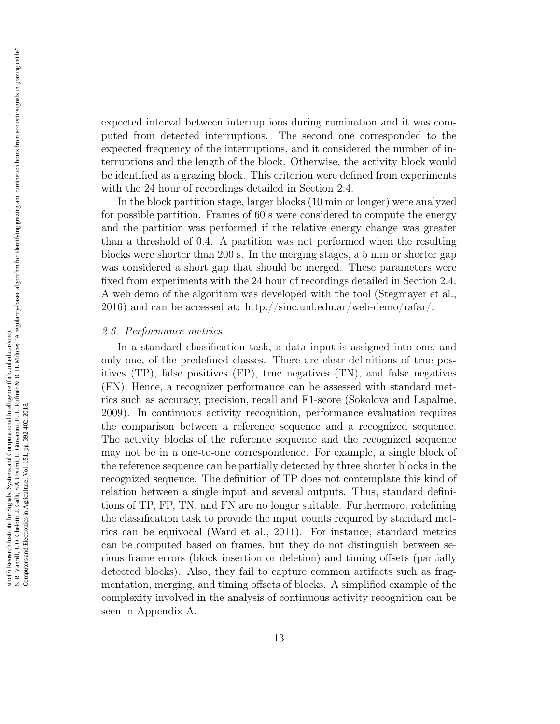expected interval between interruptions during rumination and it was computed from detected interruptions. The second one corresponded to the expected frequency of the interruptions, and it considered the number of interruptions and the length of the block. Otherwise, the activity block would be identified as a grazing block. This criterion were defined from experiments with the 24 hour of recordings detailed in Section [2.4.](#page-9-0)

In the block partition stage, larger blocks (10 min or longer) were analyzed for possible partition. Frames of 60 s were considered to compute the energy and the partition was performed if the relative energy change was greater than a threshold of 0.4. A partition was not performed when the resulting blocks were shorter than 200 s. In the merging stages, a 5 min or shorter gap was considered a short gap that should be merged. These parameters were fixed from experiments with the 24 hour of recordings detailed in Section [2.4.](#page-9-0) A web demo of the algorithm was developed with the tool [\(Stegmayer et al.,](#page-29-9) [2016\)](#page-29-9) and can be accessed at: [http://sinc.unl.edu.ar/web-demo/rafar/.](http://sinc.unl.edu.ar/web-demo/rafar/)

#### 2.6. Performance metrics

In a standard classification task, a data input is assigned into one, and only one, of the predefined classes. There are clear definitions of true positives (TP), false positives (FP), true negatives (TN), and false negatives (FN). Hence, a recognizer performance can be assessed with standard metrics such as accuracy, precision, recall and F1-score [\(Sokolova and Lapalme,](#page-29-7) [2009\)](#page-29-7). In continuous activity recognition, performance evaluation requires the comparison between a reference sequence and a recognized sequence. The activity blocks of the reference sequence and the recognized sequence may not be in a one-to-one correspondence. For example, a single block of the reference sequence can be partially detected by three shorter blocks in the recognized sequence. The definition of TP does not contemplate this kind of relation between a single input and several outputs. Thus, standard definitions of TP, FP, TN, and FN are no longer suitable. Furthermore, redefining the classification task to provide the input counts required by standard metrics can be equivocal [\(Ward et al., 2011\)](#page-30-5). For instance, standard metrics can be computed based on frames, but they do not distinguish between serious frame errors (block insertion or deletion) and timing offsets (partially detected blocks). Also, they fail to capture common artifacts such as fragmentation, merging, and timing offsets of blocks. A simplified example of the complexity involved in the analysis of continuous activity recognition can be seen in [Appendix A.](#page-24-0)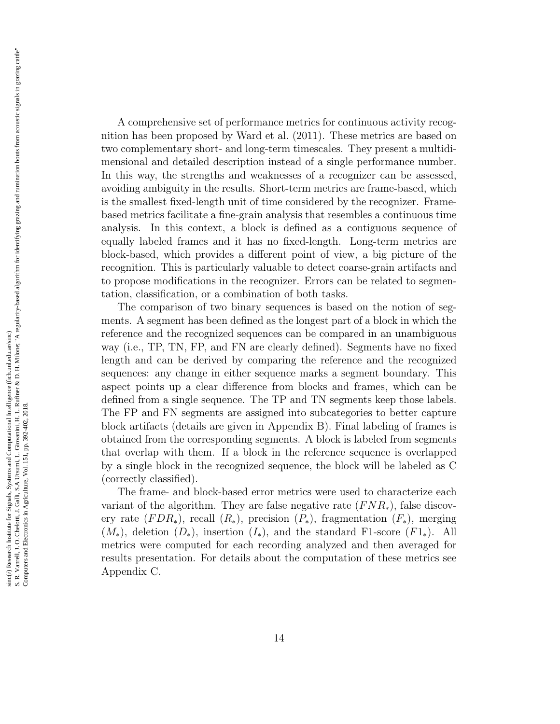A comprehensive set of performance metrics for continuous activity recognition has been proposed by [Ward et al.](#page-30-5) [\(2011\)](#page-30-5). These metrics are based on two complementary short- and long-term timescales. They present a multidimensional and detailed description instead of a single performance number. In this way, the strengths and weaknesses of a recognizer can be assessed, avoiding ambiguity in the results. Short-term metrics are frame-based, which is the smallest fixed-length unit of time considered by the recognizer. Framebased metrics facilitate a fine-grain analysis that resembles a continuous time analysis. In this context, a block is defined as a contiguous sequence of equally labeled frames and it has no fixed-length. Long-term metrics are block-based, which provides a different point of view, a big picture of the recognition. This is particularly valuable to detect coarse-grain artifacts and to propose modifications in the recognizer. Errors can be related to segmentation, classification, or a combination of both tasks.

The comparison of two binary sequences is based on the notion of segments. A segment has been defined as the longest part of a block in which the reference and the recognized sequences can be compared in an unambiguous way (i.e., TP, TN, FP, and FN are clearly defined). Segments have no fixed length and can be derived by comparing the reference and the recognized sequences: any change in either sequence marks a segment boundary. This aspect points up a clear difference from blocks and frames, which can be defined from a single sequence. The TP and TN segments keep those labels. The FP and FN segments are assigned into subcategories to better capture block artifacts (details are given in [Appendix B\)](#page-25-0). Final labeling of frames is obtained from the corresponding segments. A block is labeled from segments that overlap with them. If a block in the reference sequence is overlapped by a single block in the recognized sequence, the block will be labeled as C (correctly classified).

The frame- and block-based error metrics were used to characterize each variant of the algorithm. They are false negative rate  $(FNR_*)$ , false discovery rate  $(FDR_*)$ , recall  $(R_*)$ , precision  $(P_*)$ , fragmentation  $(F_*)$ , merging  $(M_*)$ , deletion  $(D_*)$ , insertion  $(I_*)$ , and the standard F1-score  $(F1_*)$ . All metrics were computed for each recording analyzed and then averaged for results presentation. For details about the computation of these metrics see [Appendix C.](#page-25-1)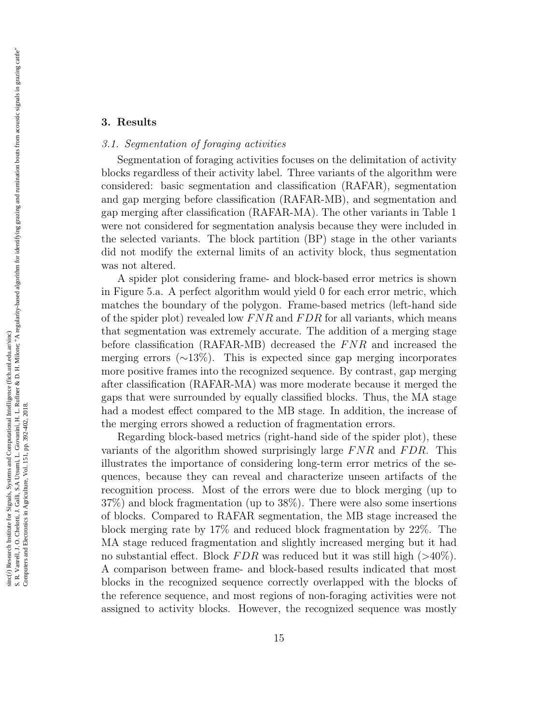#### 3.1. Segmentation of foraging activities

Segmentation of foraging activities focuses on the delimitation of activity blocks regardless of their activity label. Three variants of the algorithm were considered: basic segmentation and classification (RAFAR), segmentation and gap merging before classification (RAFAR-MB), and segmentation and gap merging after classification (RAFAR-MA). The other variants in Table [1](#page-9-1) were not considered for segmentation analysis because they were included in the selected variants. The block partition (BP) stage in the other variants did not modify the external limits of an activity block, thus segmentation was not altered.

A spider plot considering frame- and block-based error metrics is shown in Figure [5.](#page-15-0)a. A perfect algorithm would yield 0 for each error metric, which matches the boundary of the polygon. Frame-based metrics (left-hand side of the spider plot) revealed low  $FNR$  and  $FDR$  for all variants, which means that segmentation was extremely accurate. The addition of a merging stage before classification (RAFAR-MB) decreased the  $FNR$  and increased the merging errors ( $\sim$ 13%). This is expected since gap merging incorporates more positive frames into the recognized sequence. By contrast, gap merging after classification (RAFAR-MA) was more moderate because it merged the gaps that were surrounded by equally classified blocks. Thus, the MA stage had a modest effect compared to the MB stage. In addition, the increase of the merging errors showed a reduction of fragmentation errors.

Regarding block-based metrics (right-hand side of the spider plot), these variants of the algorithm showed surprisingly large  $FNR$  and  $FDR$ . This illustrates the importance of considering long-term error metrics of the sequences, because they can reveal and characterize unseen artifacts of the recognition process. Most of the errors were due to block merging (up to 37%) and block fragmentation (up to 38%). There were also some insertions of blocks. Compared to RAFAR segmentation, the MB stage increased the block merging rate by 17% and reduced block fragmentation by 22%. The MA stage reduced fragmentation and slightly increased merging but it had no substantial effect. Block  $FDR$  was reduced but it was still high (>40%). A comparison between frame- and block-based results indicated that most blocks in the recognized sequence correctly overlapped with the blocks of the reference sequence, and most regions of non-foraging activities were not assigned to activity blocks. However, the recognized sequence was mostly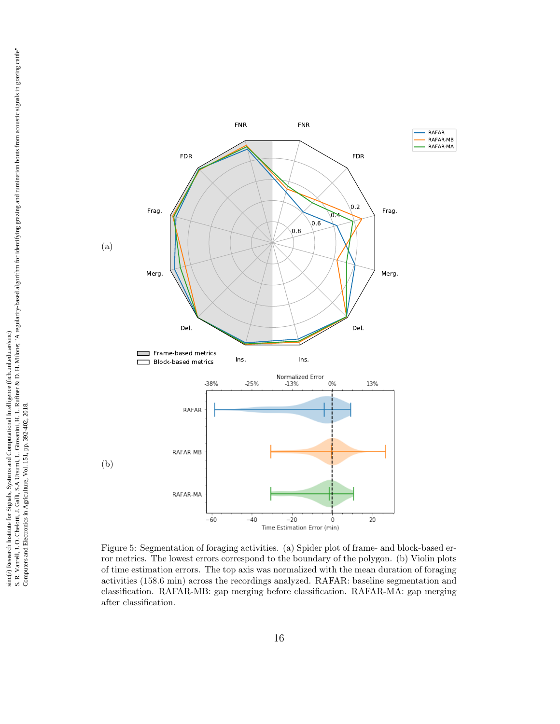<span id="page-15-0"></span>

Figure 5: Segmentation of foraging activities. (a) Spider plot of frame- and block-based error metrics. The lowest errors correspond to the boundary of the polygon. (b) Violin plots of time estimation errors. The top axis was normalized with the mean duration of foraging activities (158.6 min) across the recordings analyzed. RAFAR: baseline segmentation and classification. RAFAR-MB: gap merging before classification. RAFAR-MA: gap merging after classification.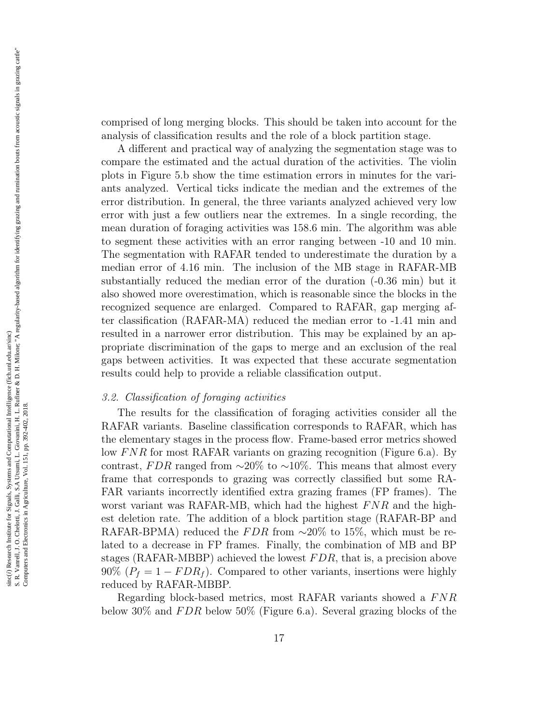comprised of long merging blocks. This should be taken into account for the analysis of classification results and the role of a block partition stage.

A different and practical way of analyzing the segmentation stage was to compare the estimated and the actual duration of the activities. The violin plots in Figure [5.](#page-15-0)b show the time estimation errors in minutes for the variants analyzed. Vertical ticks indicate the median and the extremes of the error distribution. In general, the three variants analyzed achieved very low error with just a few outliers near the extremes. In a single recording, the mean duration of foraging activities was 158.6 min. The algorithm was able to segment these activities with an error ranging between -10 and 10 min. The segmentation with RAFAR tended to underestimate the duration by a median error of 4.16 min. The inclusion of the MB stage in RAFAR-MB substantially reduced the median error of the duration (-0.36 min) but it also showed more overestimation, which is reasonable since the blocks in the recognized sequence are enlarged. Compared to RAFAR, gap merging after classification (RAFAR-MA) reduced the median error to -1.41 min and resulted in a narrower error distribution. This may be explained by an appropriate discrimination of the gaps to merge and an exclusion of the real gaps between activities. It was expected that these accurate segmentation results could help to provide a reliable classification output.

#### 3.2. Classification of foraging activities

The results for the classification of foraging activities consider all the RAFAR variants. Baseline classification corresponds to RAFAR, which has the elementary stages in the process flow. Frame-based error metrics showed low  $FNR$  for most RAFAR variants on grazing recognition (Figure [6.](#page-17-0)a). By contrast, FDR ranged from  $\sim$ 20% to ~10%. This means that almost every frame that corresponds to grazing was correctly classified but some RA-FAR variants incorrectly identified extra grazing frames (FP frames). The worst variant was RAFAR-MB, which had the highest  $FNR$  and the highest deletion rate. The addition of a block partition stage (RAFAR-BP and RAFAR-BPMA) reduced the  $FDR$  from  $\sim 20\%$  to 15%, which must be related to a decrease in FP frames. Finally, the combination of MB and BP stages (RAFAR-MBBP) achieved the lowest  $FDR$ , that is, a precision above 90%  $(P_f = 1 - FDR_f)$ . Compared to other variants, insertions were highly reduced by RAFAR-MBBP.

Regarding block-based metrics, most RAFAR variants showed a FNR below 30% and  $FDR$  below 50% (Figure [6.](#page-17-0)a). Several grazing blocks of the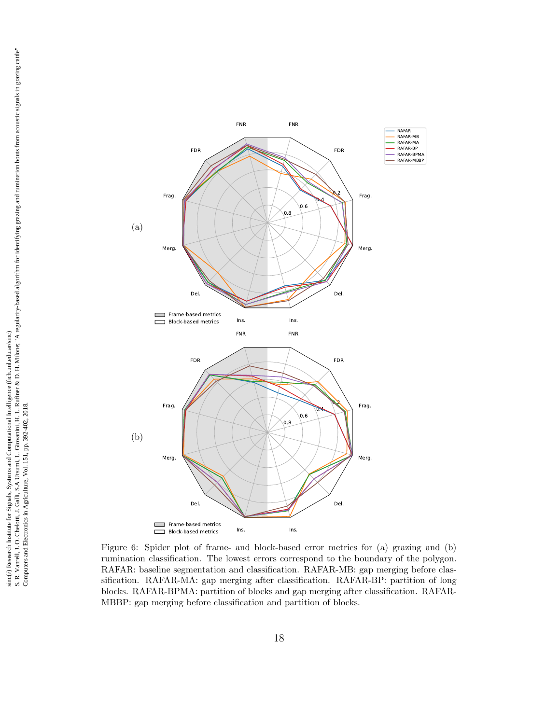

<span id="page-17-0"></span>FNR Ins. Ins. Del. Merg. Frag. FDR FNR 0.8 0.6 0.4  $\mathcal{N}^2$ Frame-based metrics Block-based metrics RAFAR RAFAR-MB RAFAR-MA RAFAR-BP RAFAR-BPMA RAFAR-MBBP FNR Ins. Ins. Del. Merg. Frag. FDR FNR 0.8 0.6  $\sim$ 0.2 Frame-based metrics Block-based metrics

Figure 6: Spider plot of frame- and block-based error metrics for (a) grazing and (b) rumination classification. The lowest errors correspond to the boundary of the polygon. RAFAR: baseline segmentation and classification. RAFAR-MB: gap merging before classification. RAFAR-MA: gap merging after classification. RAFAR-BP: partition of long blocks. RAFAR-BPMA: partition of blocks and gap merging after classification. RAFAR-MBBP: gap merging before classification and partition of blocks.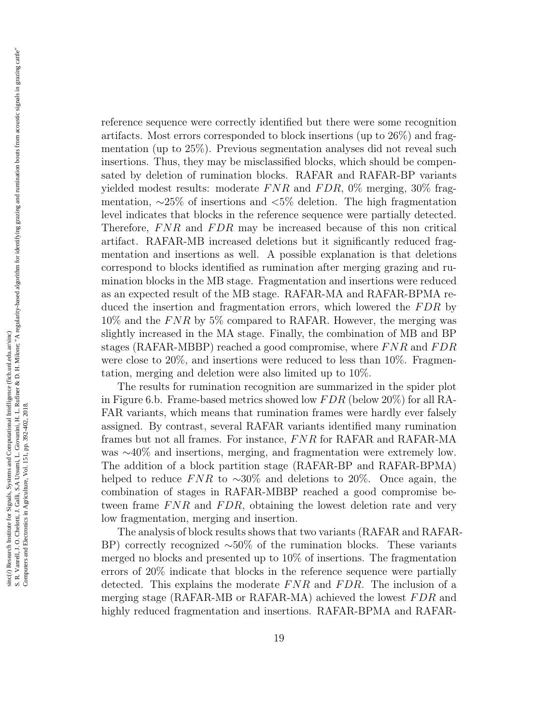reference sequence were correctly identified but there were some recognition artifacts. Most errors corresponded to block insertions (up to 26%) and fragmentation (up to 25%). Previous segmentation analyses did not reveal such insertions. Thus, they may be misclassified blocks, which should be compensated by deletion of rumination blocks. RAFAR and RAFAR-BP variants yielded modest results: moderate  $FNR$  and  $FDR$ , 0% merging, 30% fragmentation, ∼25% of insertions and <5% deletion. The high fragmentation level indicates that blocks in the reference sequence were partially detected. Therefore,  $FNR$  and  $FDR$  may be increased because of this non critical artifact. RAFAR-MB increased deletions but it significantly reduced fragmentation and insertions as well. A possible explanation is that deletions correspond to blocks identified as rumination after merging grazing and rumination blocks in the MB stage. Fragmentation and insertions were reduced as an expected result of the MB stage. RAFAR-MA and RAFAR-BPMA reduced the insertion and fragmentation errors, which lowered the  $FDR$  by  $10\%$  and the FNR by 5% compared to RAFAR. However, the merging was slightly increased in the MA stage. Finally, the combination of MB and BP stages (RAFAR-MBBP) reached a good compromise, where  $FNR$  and  $FDR$ were close to 20%, and insertions were reduced to less than 10%. Fragmentation, merging and deletion were also limited up to 10%.

The results for rumination recognition are summarized in the spider plot in Figure [6.](#page-17-0)b. Frame-based metrics showed low  $FDR$  (below 20%) for all RA-FAR variants, which means that rumination frames were hardly ever falsely assigned. By contrast, several RAFAR variants identified many rumination frames but not all frames. For instance, F NR for RAFAR and RAFAR-MA was ∼40% and insertions, merging, and fragmentation were extremely low. The addition of a block partition stage (RAFAR-BP and RAFAR-BPMA) helped to reduce FNR to  $~\sim 30\%$  and deletions to 20%. Once again, the combination of stages in RAFAR-MBBP reached a good compromise between frame  $FNR$  and  $FDR$ , obtaining the lowest deletion rate and very low fragmentation, merging and insertion.

The analysis of block results shows that two variants (RAFAR and RAFAR-BP) correctly recognized ∼50% of the rumination blocks. These variants merged no blocks and presented up to 10% of insertions. The fragmentation errors of 20% indicate that blocks in the reference sequence were partially detected. This explains the moderate  $FNR$  and  $FDR$ . The inclusion of a merging stage (RAFAR-MB or RAFAR-MA) achieved the lowest FDR and highly reduced fragmentation and insertions. RAFAR-BPMA and RAFAR-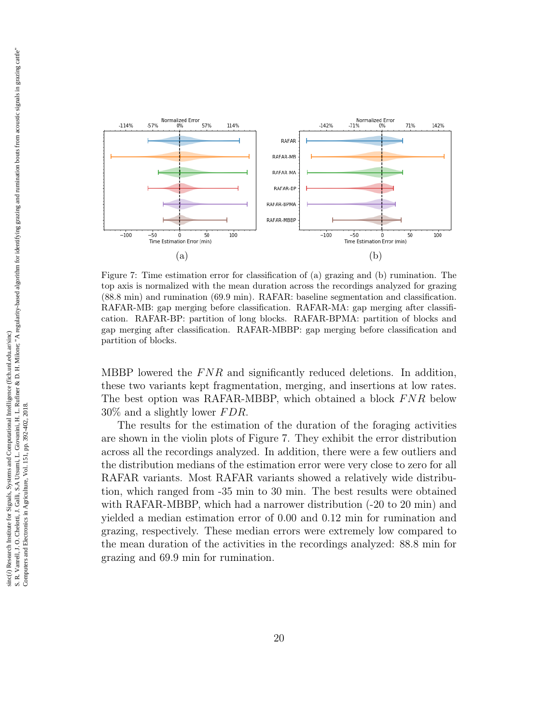<span id="page-19-0"></span>

Figure 7: Time estimation error for classification of (a) grazing and (b) rumination. The top axis is normalized with the mean duration across the recordings analyzed for grazing (88.8 min) and rumination (69.9 min). RAFAR: baseline segmentation and classification. RAFAR-MB: gap merging before classification. RAFAR-MA: gap merging after classification. RAFAR-BP: partition of long blocks. RAFAR-BPMA: partition of blocks and gap merging after classification. RAFAR-MBBP: gap merging before classification and partition of blocks.

MBBP lowered the  $FNR$  and significantly reduced deletions. In addition, these two variants kept fragmentation, merging, and insertions at low rates. The best option was RAFAR-MBBP, which obtained a block FNR below  $30\%$  and a slightly lower  $FDR$ .

The results for the estimation of the duration of the foraging activities are shown in the violin plots of Figure [7.](#page-19-0) They exhibit the error distribution across all the recordings analyzed. In addition, there were a few outliers and the distribution medians of the estimation error were very close to zero for all RAFAR variants. Most RAFAR variants showed a relatively wide distribution, which ranged from -35 min to 30 min. The best results were obtained with RAFAR-MBBP, which had a narrower distribution (-20 to 20 min) and yielded a median estimation error of 0.00 and 0.12 min for rumination and grazing, respectively. These median errors were extremely low compared to the mean duration of the activities in the recordings analyzed: 88.8 min for grazing and 69.9 min for rumination.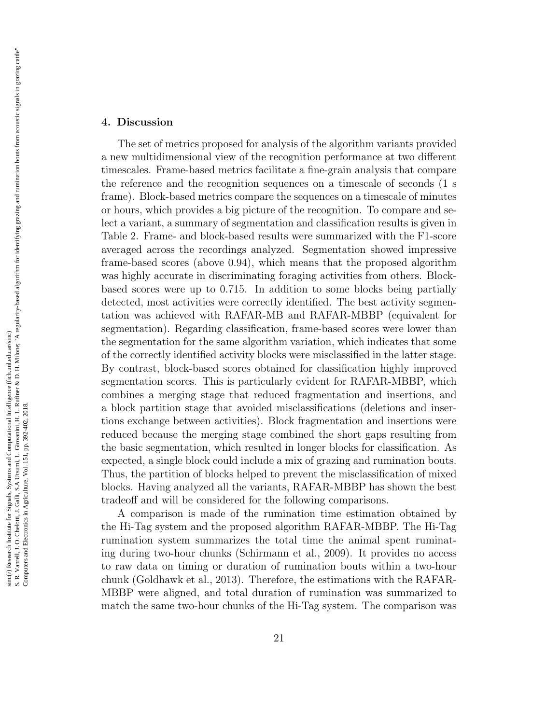#### 4. Discussion

The set of metrics proposed for analysis of the algorithm variants provided a new multidimensional view of the recognition performance at two different timescales. Frame-based metrics facilitate a fine-grain analysis that compare the reference and the recognition sequences on a timescale of seconds (1 s frame). Block-based metrics compare the sequences on a timescale of minutes or hours, which provides a big picture of the recognition. To compare and select a variant, a summary of segmentation and classification results is given in Table [2.](#page-21-0) Frame- and block-based results were summarized with the F1-score averaged across the recordings analyzed. Segmentation showed impressive frame-based scores (above 0.94), which means that the proposed algorithm was highly accurate in discriminating foraging activities from others. Blockbased scores were up to 0.715. In addition to some blocks being partially detected, most activities were correctly identified. The best activity segmentation was achieved with RAFAR-MB and RAFAR-MBBP (equivalent for segmentation). Regarding classification, frame-based scores were lower than the segmentation for the same algorithm variation, which indicates that some of the correctly identified activity blocks were misclassified in the latter stage. By contrast, block-based scores obtained for classification highly improved segmentation scores. This is particularly evident for RAFAR-MBBP, which combines a merging stage that reduced fragmentation and insertions, and a block partition stage that avoided misclassifications (deletions and insertions exchange between activities). Block fragmentation and insertions were reduced because the merging stage combined the short gaps resulting from the basic segmentation, which resulted in longer blocks for classification. As expected, a single block could include a mix of grazing and rumination bouts. Thus, the partition of blocks helped to prevent the misclassification of mixed blocks. Having analyzed all the variants, RAFAR-MBBP has shown the best tradeoff and will be considered for the following comparisons.

A comparison is made of the rumination time estimation obtained by the Hi-Tag system and the proposed algorithm RAFAR-MBBP. The Hi-Tag rumination system summarizes the total time the animal spent ruminating during two-hour chunks [\(Schirmann et al., 2009\)](#page-29-6). It provides no access to raw data on timing or duration of rumination bouts within a two-hour chunk [\(Goldhawk et al., 2013\)](#page-28-8). Therefore, the estimations with the RAFAR-MBBP were aligned, and total duration of rumination was summarized to match the same two-hour chunks of the Hi-Tag system. The comparison was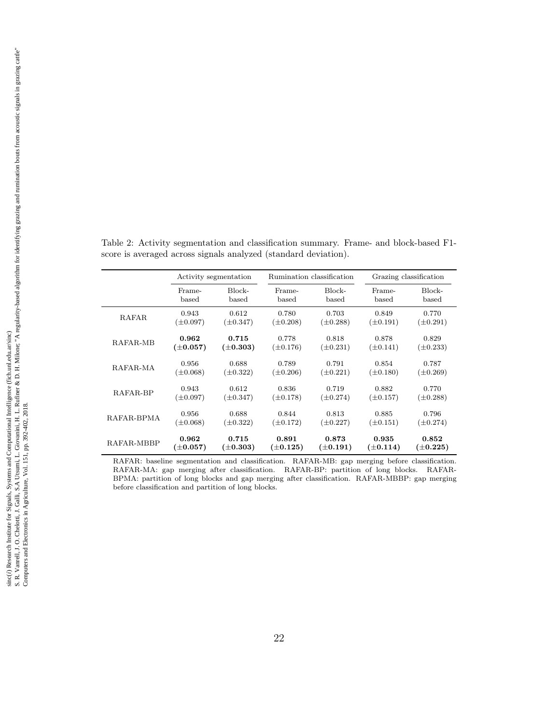|              | Activity segmentation |               | Rumination classification |               | Grazing classification |               |
|--------------|-----------------------|---------------|---------------------------|---------------|------------------------|---------------|
|              | Frame-                | Block-        | Frame-                    | Block-        | Frame-                 | Block-        |
|              | based                 | based         | based                     | based         | based                  | based         |
| <b>RAFAR</b> | 0.943                 | 0.612         | 0.780                     | 0.703         | 0.849                  | 0.770         |
|              | $(\pm 0.097)$         | $(\pm 0.347)$ | $(\pm 0.208)$             | $(\pm 0.288)$ | $(\pm 0.191)$          | $(\pm 0.291)$ |
| RAFAR-MB     | 0.962                 | 0.715         | 0.778                     | 0.818         | 0.878                  | 0.829         |
|              | $(\pm 0.057)$         | $(\pm 0.303)$ | $(\pm 0.176)$             | $(\pm 0.231)$ | $(\pm 0.141)$          | $(\pm 0.233)$ |
| RAFAR-MA     | 0.956                 | 0.688         | 0.789                     | 0.791         | 0.854                  | 0.787         |
|              | $(\pm 0.068)$         | $(\pm 0.322)$ | $(\pm 0.206)$             | $(\pm 0.221)$ | $(\pm 0.180)$          | $(\pm 0.269)$ |
| RAFAR-BP     | 0.943                 | 0.612         | 0.836                     | 0.719         | 0.882                  | 0.770         |
|              | $(\pm 0.097)$         | $(\pm 0.347)$ | $(\pm 0.178)$             | $(\pm 0.274)$ | $(\pm 0.157)$          | $(\pm 0.288)$ |
| RAFAR-BPMA   | 0.956                 | 0.688         | 0.844                     | 0.813         | 0.885                  | 0.796         |
|              | $(\pm 0.068)$         | $(\pm 0.322)$ | $(\pm 0.172)$             | $(\pm 0.227)$ | $(\pm 0.151)$          | $(\pm 0.274)$ |
| RAFAR-MBBP   | 0.962                 | 0.715         | 0.891                     | 0.873         | 0.935                  | 0.852         |
|              | $(\pm 0.057)$         | $(\pm 0.303)$ | $(\pm 0.125)$             | $(\pm 0.191)$ | $(\pm 0.114)$          | $(\pm 0.225)$ |

<span id="page-21-0"></span>Table 2: Activity segmentation and classification summary. Frame- and block-based F1 score is averaged across signals analyzed (standard deviation).

RAFAR: baseline segmentation and classification. RAFAR-MB: gap merging before classification. RAFAR-MA: gap merging after classification. RAFAR-BP: partition of long blocks. RAFAR-BPMA: partition of long blocks and gap merging after classification. RAFAR-MBBP: gap merging before classification and partition of long blocks.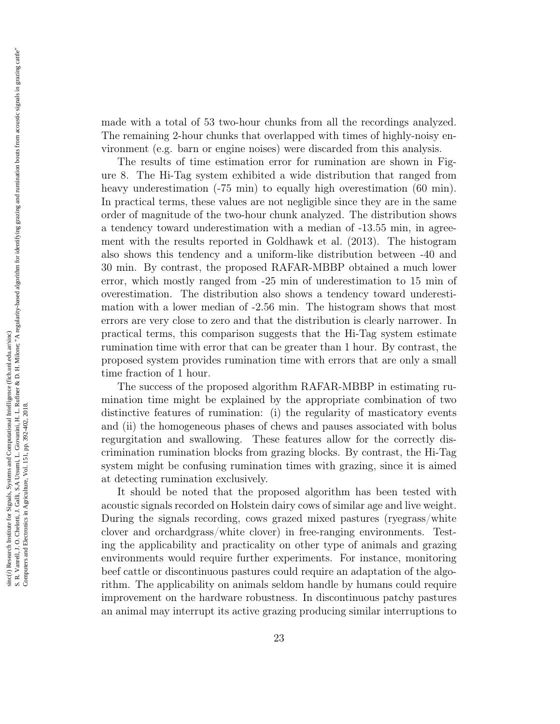made with a total of 53 two-hour chunks from all the recordings analyzed. The remaining 2-hour chunks that overlapped with times of highly-noisy environment (e.g. barn or engine noises) were discarded from this analysis.

The results of time estimation error for rumination are shown in Figure [8.](#page-23-0) The Hi-Tag system exhibited a wide distribution that ranged from heavy underestimation (-75 min) to equally high overestimation (60 min). In practical terms, these values are not negligible since they are in the same order of magnitude of the two-hour chunk analyzed. The distribution shows a tendency toward underestimation with a median of -13.55 min, in agreement with the results reported in [Goldhawk et al.](#page-28-8) [\(2013\)](#page-28-8). The histogram also shows this tendency and a uniform-like distribution between -40 and 30 min. By contrast, the proposed RAFAR-MBBP obtained a much lower error, which mostly ranged from -25 min of underestimation to 15 min of overestimation. The distribution also shows a tendency toward underestimation with a lower median of -2.56 min. The histogram shows that most errors are very close to zero and that the distribution is clearly narrower. In practical terms, this comparison suggests that the Hi-Tag system estimate rumination time with error that can be greater than 1 hour. By contrast, the proposed system provides rumination time with errors that are only a small time fraction of 1 hour.

The success of the proposed algorithm RAFAR-MBBP in estimating rumination time might be explained by the appropriate combination of two distinctive features of rumination: (i) the regularity of masticatory events and (ii) the homogeneous phases of chews and pauses associated with bolus regurgitation and swallowing. These features allow for the correctly discrimination rumination blocks from grazing blocks. By contrast, the Hi-Tag system might be confusing rumination times with grazing, since it is aimed at detecting rumination exclusively.

It should be noted that the proposed algorithm has been tested with acoustic signals recorded on Holstein dairy cows of similar age and live weight. During the signals recording, cows grazed mixed pastures (ryegrass/white clover and orchardgrass/white clover) in free-ranging environments. Testing the applicability and practicality on other type of animals and grazing environments would require further experiments. For instance, monitoring beef cattle or discontinuous pastures could require an adaptation of the algorithm. The applicability on animals seldom handle by humans could require improvement on the hardware robustness. In discontinuous patchy pastures an animal may interrupt its active grazing producing similar interruptions to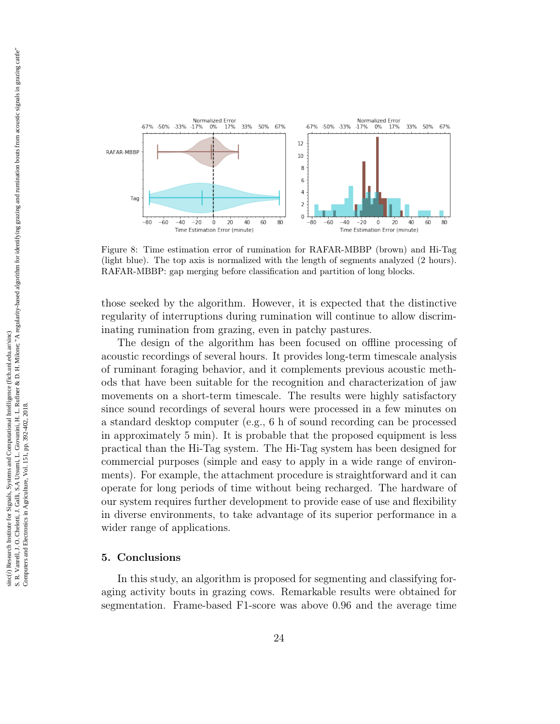<span id="page-23-0"></span>

Figure 8: Time estimation error of rumination for RAFAR-MBBP (brown) and Hi-Tag (light blue). The top axis is normalized with the length of segments analyzed (2 hours). RAFAR-MBBP: gap merging before classification and partition of long blocks.

those seeked by the algorithm. However, it is expected that the distinctive regularity of interruptions during rumination will continue to allow discriminating rumination from grazing, even in patchy pastures.

The design of the algorithm has been focused on offline processing of acoustic recordings of several hours. It provides long-term timescale analysis of ruminant foraging behavior, and it complements previous acoustic methods that have been suitable for the recognition and characterization of jaw movements on a short-term timescale. The results were highly satisfactory since sound recordings of several hours were processed in a few minutes on a standard desktop computer (e.g., 6 h of sound recording can be processed in approximately 5 min). It is probable that the proposed equipment is less practical than the Hi-Tag system. The Hi-Tag system has been designed for commercial purposes (simple and easy to apply in a wide range of environments). For example, the attachment procedure is straightforward and it can operate for long periods of time without being recharged. The hardware of our system requires further development to provide ease of use and flexibility in diverse environments, to take advantage of its superior performance in a wider range of applications.

# 5. Conclusions

In this study, an algorithm is proposed for segmenting and classifying foraging activity bouts in grazing cows. Remarkable results were obtained for segmentation. Frame-based F1-score was above 0.96 and the average time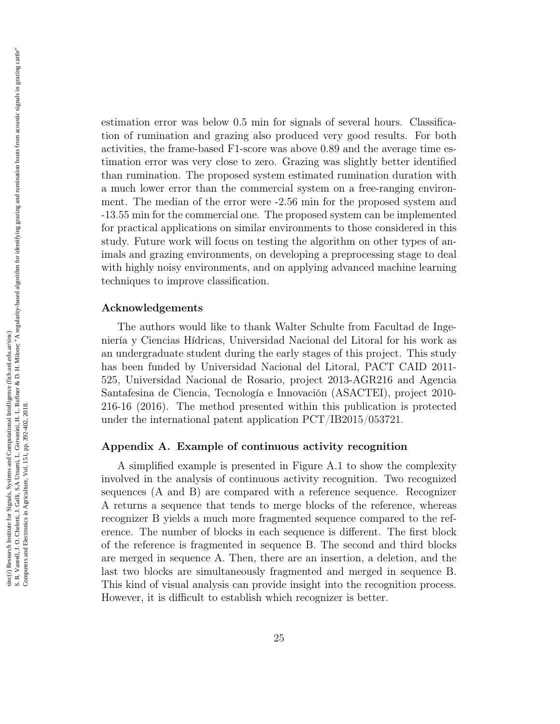estimation error was below 0.5 min for signals of several hours. Classification of rumination and grazing also produced very good results. For both activities, the frame-based F1-score was above 0.89 and the average time estimation error was very close to zero. Grazing was slightly better identified than rumination. The proposed system estimated rumination duration with a much lower error than the commercial system on a free-ranging environment. The median of the error were -2.56 min for the proposed system and -13.55 min for the commercial one. The proposed system can be implemented for practical applications on similar environments to those considered in this study. Future work will focus on testing the algorithm on other types of animals and grazing environments, on developing a preprocessing stage to deal with highly noisy environments, and on applying advanced machine learning techniques to improve classification.

#### Acknowledgements

The authors would like to thank Walter Schulte from Facultad de Ingeniería y Ciencias Hídricas, Universidad Nacional del Litoral for his work as an undergraduate student during the early stages of this project. This study has been funded by Universidad Nacional del Litoral, PACT CAID 2011- 525, Universidad Nacional de Rosario, project 2013-AGR216 and Agencia Santafesina de Ciencia, Tecnología e Innovación (ASACTEI), project 2010- 216-16 (2016). The method presented within this publication is protected under the international patent application PCT/IB2015/053721.

# <span id="page-24-0"></span>Appendix A. Example of continuous activity recognition

A simplified example is presented in Figure [A.1](#page-25-2) to show the complexity involved in the analysis of continuous activity recognition. Two recognized sequences (A and B) are compared with a reference sequence. Recognizer A returns a sequence that tends to merge blocks of the reference, whereas recognizer B yields a much more fragmented sequence compared to the reference. The number of blocks in each sequence is different. The first block of the reference is fragmented in sequence B. The second and third blocks are merged in sequence A. Then, there are an insertion, a deletion, and the last two blocks are simultaneously fragmented and merged in sequence B. This kind of visual analysis can provide insight into the recognition process. However, it is difficult to establish which recognizer is better.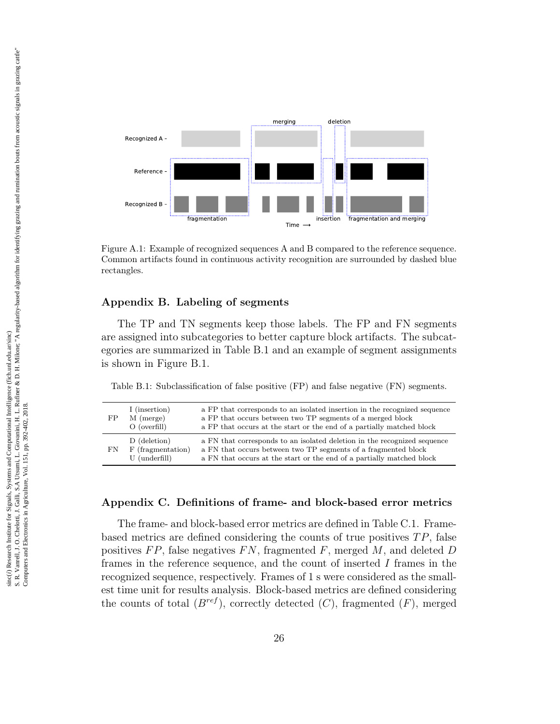<span id="page-25-2"></span>

Figure A.1: Example of recognized sequences A and B compared to the reference sequence. Common artifacts found in continuous activity recognition are surrounded by dashed blue rectangles.

## <span id="page-25-0"></span>Appendix B. Labeling of segments

The TP and TN segments keep those labels. The FP and FN segments are assigned into subcategories to better capture block artifacts. The subcategories are summarized in Table [B.1](#page-25-3) and an example of segment assignments is shown in Figure [B.1.](#page-26-2)

<span id="page-25-3"></span>Table B.1: Subclassification of false positive (FP) and false negative (FN) segments.

| FP | I (insertion)<br>M (merge)<br>$O$ (overfill)         | a FP that corresponds to an isolated insertion in the recognized sequence<br>a FP that occurs between two TP segments of a merged block<br>a FP that occurs at the start or the end of a partially matched block    |
|----|------------------------------------------------------|---------------------------------------------------------------------------------------------------------------------------------------------------------------------------------------------------------------------|
| FN | D (deletion)<br>F (fragmentation)<br>$U$ (underfill) | a FN that corresponds to an isolated deletion in the recognized sequence<br>a FN that occurs between two TP segments of a fragmented block<br>a FN that occurs at the start or the end of a partially matched block |

# <span id="page-25-1"></span>Appendix C. Definitions of frame- and block-based error metrics

The frame- and block-based error metrics are defined in Table [C.1.](#page-26-3) Framebased metrics are defined considering the counts of true positives  $TP$ , false positives  $FP$ , false negatives  $FN$ , fragmented F, merged M, and deleted D frames in the reference sequence, and the count of inserted  $I$  frames in the recognized sequence, respectively. Frames of 1 s were considered as the smallest time unit for results analysis. Block-based metrics are defined considering the counts of total  $(B^{ref})$ , correctly detected  $(C)$ , fragmented  $(F)$ , merged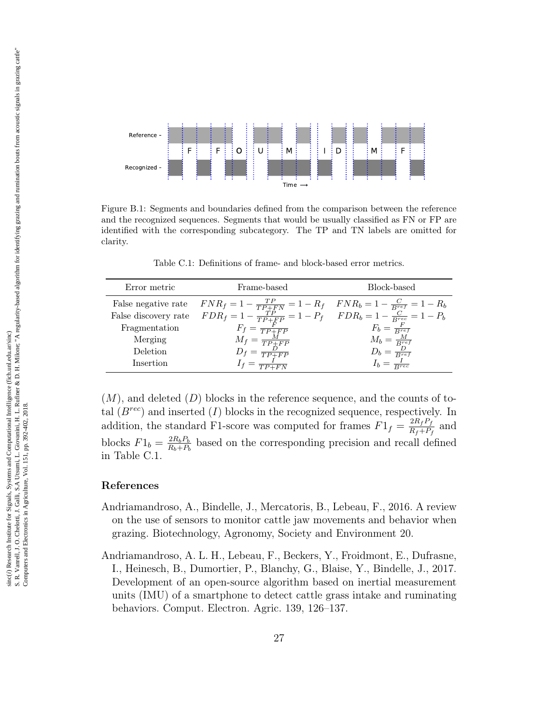<span id="page-26-2"></span>

Figure B.1: Segments and boundaries defined from the comparison between the reference and the recognized sequences. Segments that would be usually classified as FN or FP are identified with the corresponding subcategory. The TP and TN labels are omitted for clarity.

Table C.1: Definitions of frame- and block-based error metrics.

<span id="page-26-3"></span>

| Error metric         | Frame-based                                                                                                                                                                                                     | Block-based               |  |  |
|----------------------|-----------------------------------------------------------------------------------------------------------------------------------------------------------------------------------------------------------------|---------------------------|--|--|
|                      | False negative rate $FNR_f = 1 - \frac{TP}{TP + FN} = 1 - R_f$ $FNR_b = 1 - \frac{C}{Bref} = 1 - R_b$<br>False discovery rate $FDR_f = 1 - \frac{TP}{TP + FP} = 1 - P_f$ $FDR_b = 1 - \frac{C}{Brec} = 1 - P_b$ |                           |  |  |
| False discovery rate |                                                                                                                                                                                                                 |                           |  |  |
| Fragmentation        |                                                                                                                                                                                                                 | $F_b = \frac{F}{Rref}$    |  |  |
| Merging              |                                                                                                                                                                                                                 | $M_b = \frac{M}{B^{ref}}$ |  |  |
| Deletion             |                                                                                                                                                                                                                 | $D_b = \frac{D}{R^{ref}}$ |  |  |
| Insertion            | $\begin{array}{l} F_f = \frac{\dot{r}}{TP + FP} \\ M_f = \frac{M}{TP + FP} \\ D_f = \frac{D}{TP + FP} \\ I_f = \frac{P}{TP + FN} \end{array}$                                                                   | $I_b = \frac{I}{B_{rec}}$ |  |  |
|                      |                                                                                                                                                                                                                 |                           |  |  |

 $(M)$ , and deleted  $(D)$  blocks in the reference sequence, and the counts of total  $(B^{rec})$  and inserted  $(I)$  blocks in the recognized sequence, respectively. In addition, the standard F1-score was computed for frames  $F1_f = \frac{2R_fP_f}{R_f+P_i}$  $\frac{2R_fF_f}{R_f+P_f}$  and blocks  $F1_b = \frac{2R_bP_b}{R_b+P_b}$  $\frac{2R_bP_b}{R_b+P_b}$  based on the corresponding precision and recall defined in Table [C.1.](#page-26-3)

## References

- <span id="page-26-0"></span>Andriamandroso, A., Bindelle, J., Mercatoris, B., Lebeau, F., 2016. A review on the use of sensors to monitor cattle jaw movements and behavior when grazing. Biotechnology, Agronomy, Society and Environment 20.
- <span id="page-26-1"></span>Andriamandroso, A. L. H., Lebeau, F., Beckers, Y., Froidmont, E., Dufrasne, I., Heinesch, B., Dumortier, P., Blanchy, G., Blaise, Y., Bindelle, J., 2017. Development of an open-source algorithm based on inertial measurement units (IMU) of a smartphone to detect cattle grass intake and ruminating behaviors. Comput. Electron. Agric. 139, 126–137.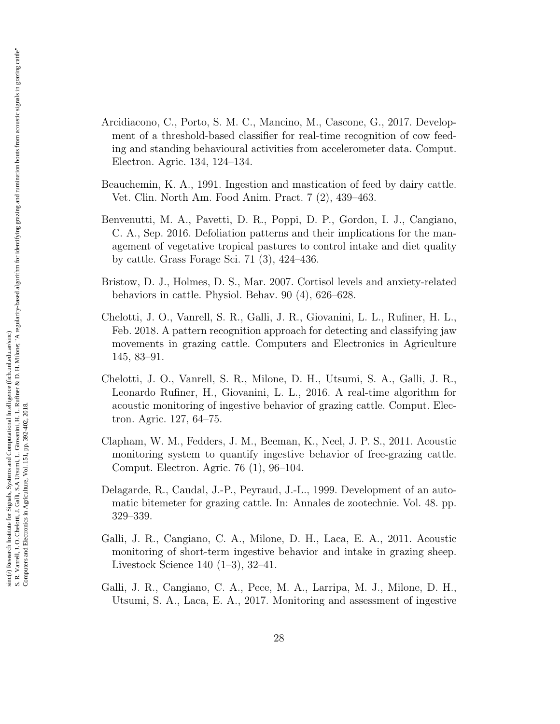- <span id="page-27-5"></span>Arcidiacono, C., Porto, S. M. C., Mancino, M., Cascone, G., 2017. Development of a threshold-based classifier for real-time recognition of cow feeding and standing behavioural activities from accelerometer data. Comput. Electron. Agric. 134, 124–134.
- <span id="page-27-1"></span>Beauchemin, K. A., 1991. Ingestion and mastication of feed by dairy cattle. Vet. Clin. North Am. Food Anim. Pract. 7 (2), 439–463.
- <span id="page-27-2"></span>Benvenutti, M. A., Pavetti, D. R., Poppi, D. P., Gordon, I. J., Cangiano, C. A., Sep. 2016. Defoliation patterns and their implications for the management of vegetative tropical pastures to control intake and diet quality by cattle. Grass Forage Sci. 71 (3), 424–436.
- <span id="page-27-0"></span>Bristow, D. J., Holmes, D. S., Mar. 2007. Cortisol levels and anxiety-related behaviors in cattle. Physiol. Behav. 90 (4), 626–628.
- <span id="page-27-9"></span>Chelotti, J. O., Vanrell, S. R., Galli, J. R., Giovanini, L. L., Rufiner, H. L., Feb. 2018. A pattern recognition approach for detecting and classifying jaw movements in grazing cattle. Computers and Electronics in Agriculture 145, 83–91.
- <span id="page-27-8"></span>Chelotti, J. O., Vanrell, S. R., Milone, D. H., Utsumi, S. A., Galli, J. R., Leonardo Rufiner, H., Giovanini, L. L., 2016. A real-time algorithm for acoustic monitoring of ingestive behavior of grazing cattle. Comput. Electron. Agric. 127, 64–75.
- <span id="page-27-7"></span>Clapham, W. M., Fedders, J. M., Beeman, K., Neel, J. P. S., 2011. Acoustic monitoring system to quantify ingestive behavior of free-grazing cattle. Comput. Electron. Agric. 76 (1), 96–104.
- <span id="page-27-4"></span>Delagarde, R., Caudal, J.-P., Peyraud, J.-L., 1999. Development of an automatic bitemeter for grazing cattle. In: Annales de zootechnie. Vol. 48. pp. 329–339.
- <span id="page-27-6"></span>Galli, J. R., Cangiano, C. A., Milone, D. H., Laca, E. A., 2011. Acoustic monitoring of short-term ingestive behavior and intake in grazing sheep. Livestock Science 140 (1–3), 32–41.
- <span id="page-27-3"></span>Galli, J. R., Cangiano, C. A., Pece, M. A., Larripa, M. J., Milone, D. H., Utsumi, S. A., Laca, E. A., 2017. Monitoring and assessment of ingestive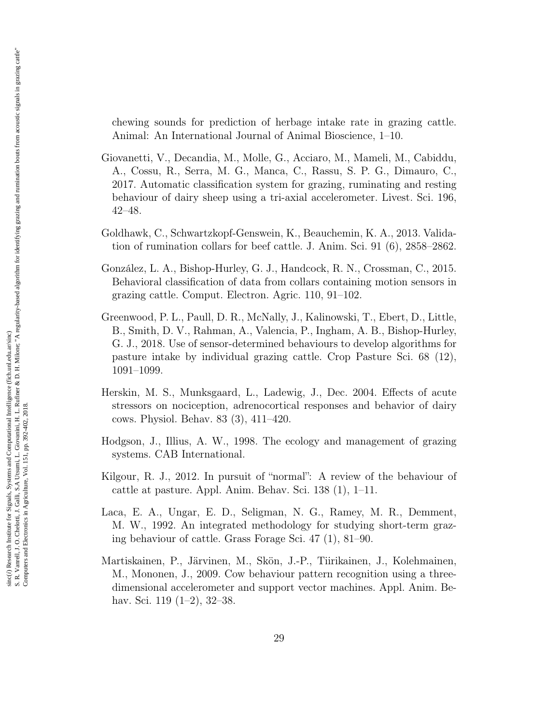chewing sounds for prediction of herbage intake rate in grazing cattle. Animal: An International Journal of Animal Bioscience, 1–10.

- <span id="page-28-5"></span>Giovanetti, V., Decandia, M., Molle, G., Acciaro, M., Mameli, M., Cabiddu, A., Cossu, R., Serra, M. G., Manca, C., Rassu, S. P. G., Dimauro, C., 2017. Automatic classification system for grazing, ruminating and resting behaviour of dairy sheep using a tri-axial accelerometer. Livest. Sci. 196, 42–48.
- <span id="page-28-8"></span>Goldhawk, C., Schwartzkopf-Genswein, K., Beauchemin, K. A., 2013. Validation of rumination collars for beef cattle. J. Anim. Sci. 91 (6), 2858–2862.
- <span id="page-28-4"></span>González, L. A., Bishop-Hurley, G. J., Handcock, R. N., Crossman, C., 2015. Behavioral classification of data from collars containing motion sensors in grazing cattle. Comput. Electron. Agric. 110, 91–102.
- <span id="page-28-7"></span>Greenwood, P. L., Paull, D. R., McNally, J., Kalinowski, T., Ebert, D., Little, B., Smith, D. V., Rahman, A., Valencia, P., Ingham, A. B., Bishop-Hurley, G. J., 2018. Use of sensor-determined behaviours to develop algorithms for pasture intake by individual grazing cattle. Crop Pasture Sci. 68 (12), 1091–1099.
- <span id="page-28-1"></span>Herskin, M. S., Munksgaard, L., Ladewig, J., Dec. 2004. Effects of acute stressors on nociception, adrenocortical responses and behavior of dairy cows. Physiol. Behav. 83 (3), 411–420.
- <span id="page-28-0"></span>Hodgson, J., Illius, A. W., 1998. The ecology and management of grazing systems. CAB International.
- <span id="page-28-2"></span>Kilgour, R. J., 2012. In pursuit of "normal": A review of the behaviour of cattle at pasture. Appl. Anim. Behav. Sci. 138 (1), 1–11.
- <span id="page-28-3"></span>Laca, E. A., Ungar, E. D., Seligman, N. G., Ramey, M. R., Demment, M. W., 1992. An integrated methodology for studying short-term grazing behaviour of cattle. Grass Forage Sci. 47 (1), 81–90.
- <span id="page-28-6"></span>Martiskainen, P., Järvinen, M., Skön, J.-P., Tiirikainen, J., Kolehmainen, M., Mononen, J., 2009. Cow behaviour pattern recognition using a threedimensional accelerometer and support vector machines. Appl. Anim. Behav. Sci. 119 (1–2), 32–38.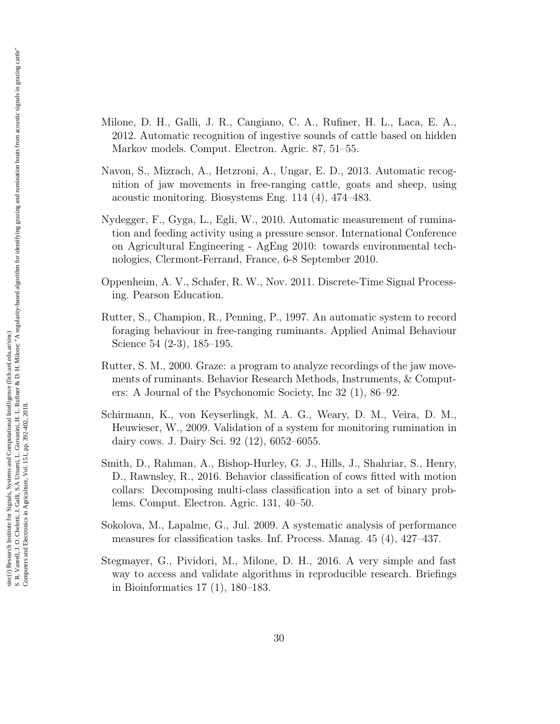- <span id="page-29-5"></span>Milone, D. H., Galli, J. R., Cangiano, C. A., Rufiner, H. L., Laca, E. A., 2012. Automatic recognition of ingestive sounds of cattle based on hidden Markov models. Comput. Electron. Agric. 87, 51–55.
- <span id="page-29-4"></span>Navon, S., Mizrach, A., Hetzroni, A., Ungar, E. D., 2013. Automatic recognition of jaw movements in free-ranging cattle, goats and sheep, using acoustic monitoring. Biosystems Eng. 114 (4), 474–483.
- <span id="page-29-3"></span>Nydegger, F., Gyga, L., Egli, W., 2010. Automatic measurement of rumination and feeding activity using a pressure sensor. International Conference on Agricultural Engineering - AgEng 2010: towards environmental technologies, Clermont-Ferrand, France, 6-8 September 2010.
- <span id="page-29-8"></span>Oppenheim, A. V., Schafer, R. W., Nov. 2011. Discrete-Time Signal Processing. Pearson Education.
- <span id="page-29-1"></span>Rutter, S., Champion, R., Penning, P., 1997. An automatic system to record foraging behaviour in free-ranging ruminants. Applied Animal Behaviour Science 54 (2-3), 185–195.
- <span id="page-29-2"></span>Rutter, S. M., 2000. Graze: a program to analyze recordings of the jaw movements of ruminants. Behavior Research Methods, Instruments, & Computers: A Journal of the Psychonomic Society, Inc 32 (1), 86–92.
- <span id="page-29-6"></span>Schirmann, K., von Keyserlingk, M. A. G., Weary, D. M., Veira, D. M., Heuwieser, W., 2009. Validation of a system for monitoring rumination in dairy cows. J. Dairy Sci. 92 (12), 6052–6055.
- <span id="page-29-0"></span>Smith, D., Rahman, A., Bishop-Hurley, G. J., Hills, J., Shahriar, S., Henry, D., Rawnsley, R., 2016. Behavior classification of cows fitted with motion collars: Decomposing multi-class classification into a set of binary problems. Comput. Electron. Agric. 131, 40–50.
- <span id="page-29-7"></span>Sokolova, M., Lapalme, G., Jul. 2009. A systematic analysis of performance measures for classification tasks. Inf. Process. Manag. 45 (4), 427–437.
- <span id="page-29-9"></span>Stegmayer, G., Pividori, M., Milone, D. H., 2016. A very simple and fast way to access and validate algorithms in reproducible research. Briefings in Bioinformatics 17 (1), 180–183.